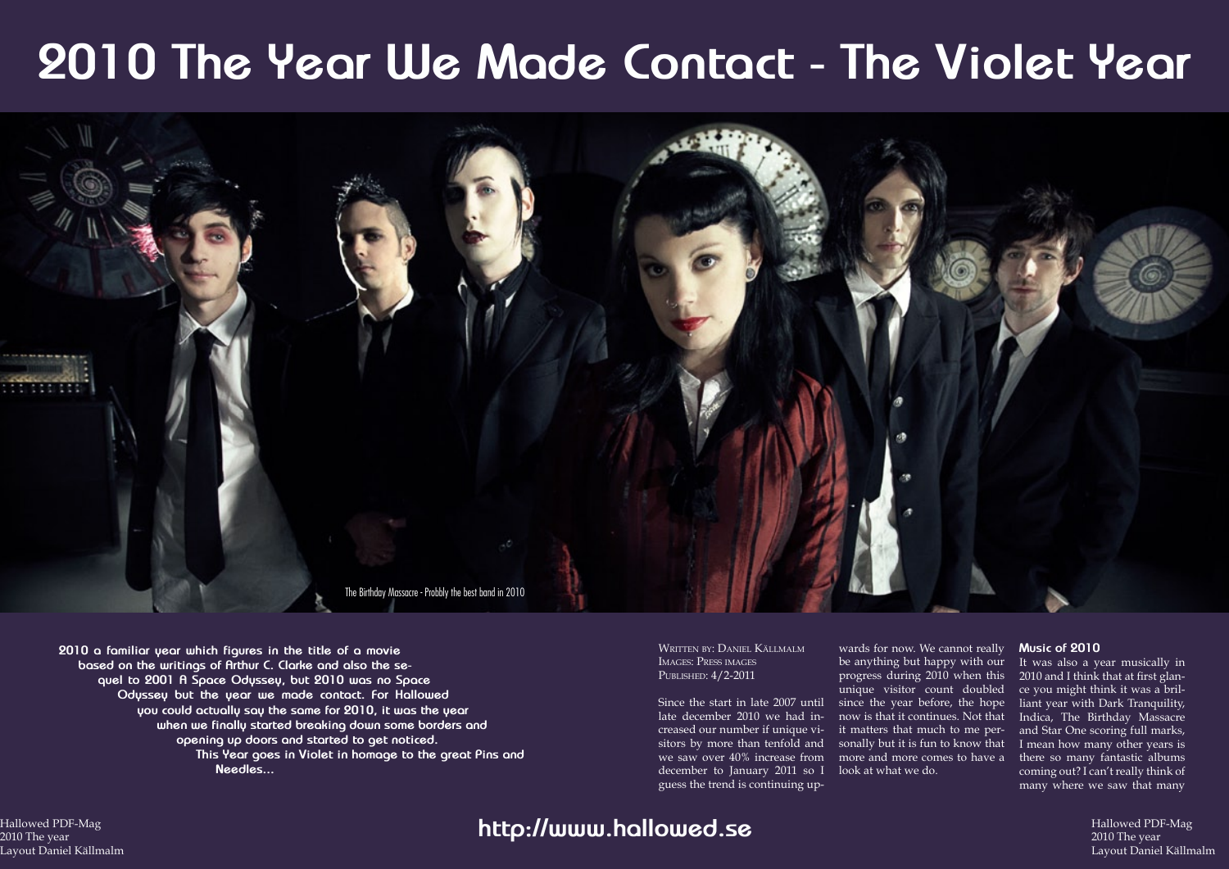### Hallowed PDF-Mag 2010 The year **Daniel A** Layout Daniel Källmalm

Hallowed PDF-Mag 2010 The year Layout Daniel Källmalm

# **2010 The Year We Made Contact - The Violet Year**



Written by: Daniel Källmalm Images: Press images PUBLISHED:  $4/2$ -2011

**2010 a familiar year which figures in the title of a movie based on the writings of Arthur C. Clarke and also the sequel to 2001 A Space Odyssey, but 2010 was no Space Odyssey but the year we made contact. For Hallowed you could actually say the same for 2010, it was the year when we finally started breaking down some borders and opening up doors and started to get noticed. This Year goes in Violet in homage to the great Pins and Needles...**

Since the start in late 2007 until since the year before, the hope late december 2010 we had increased our number if unique visitors by more than tenfold and sonally but it is fun to know that we saw over 40% increase from more and more comes to have a december to January 2011 so I look at what we do. guess the trend is continuing up-

wards for now. We cannot really be anything but happy with our progress during 2010 when this unique visitor count doubled now is that it continues. Not that it matters that much to me per-

#### **Music of 2010**

It was also a year musically in 2010 and I think that at first glance you might think it was a brilliant year with Dark Tranquility, Indica, The Birthday Massacre and Star One scoring full marks, I mean how many other years is there so many fantastic albums coming out? I can't really think of many where we saw that many

## **http://www.hallowed.se**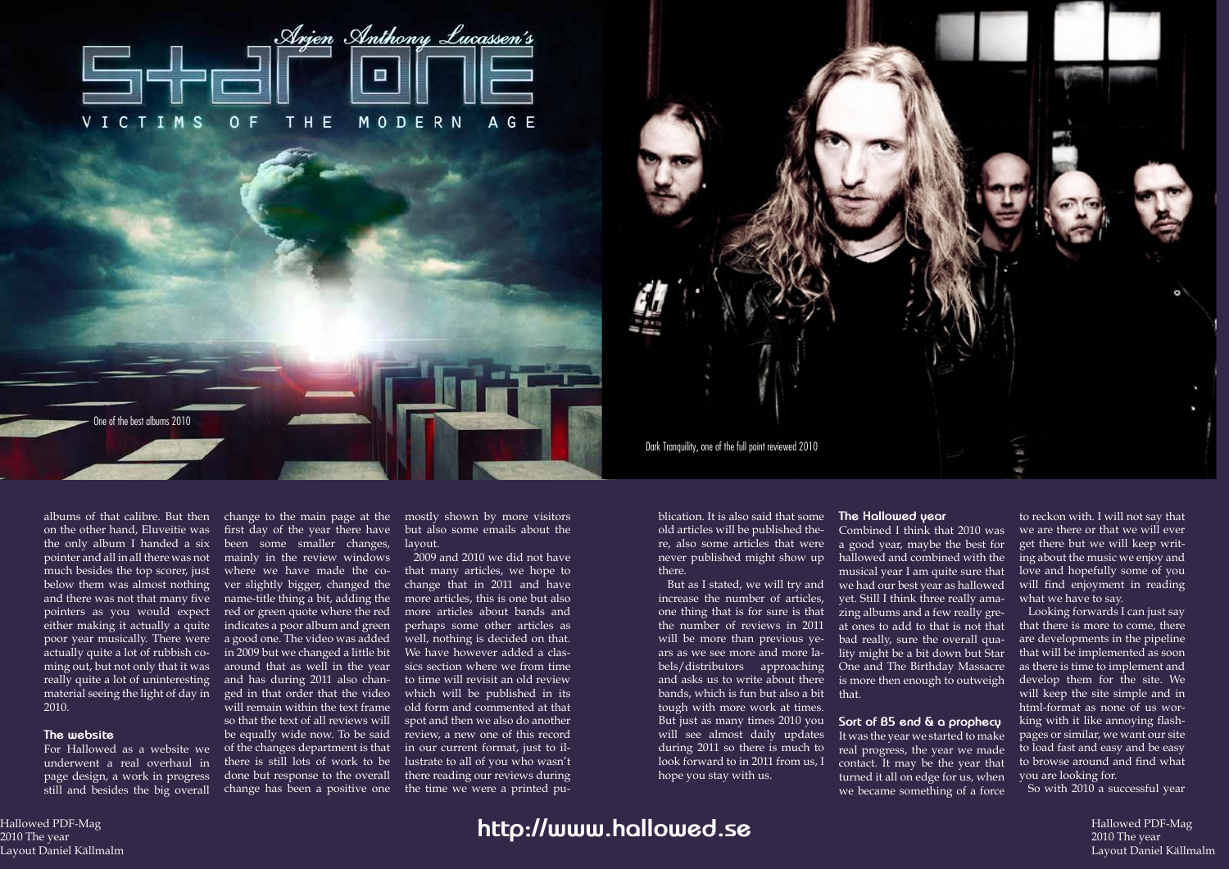Hallowed PDF-Mag 2010 The year **Daniel A** Layout Daniel Källmalm

Hallowed PDF-Mag 2010 The year Layout Daniel Källmalm

on the other hand, Eluveitie was the only album I handed a six pointer and all in all there was not much besides the top scorer, just below them was almost nothing and there was not that many five pointers as you would expect either making it actually a quite poor year musically. There were actually quite a lot of rubbish coming out, but not only that it was really quite a lot of uninteresting material seeing the light of day in 2010.

#### **The website**

underwent a real overhaul in page design, a work in progress still and besides the big overall

albums of that calibre. But then change to the main page at the mostly shown by more visitors For Hallowed as a website we of the changes department is that first day of the year there have been some smaller changes, mainly in the review windows where we have made the cover slightly bigger, changed the name-title thing a bit, adding the red or green quote where the red indicates a poor album and green a good one. The video was added in 2009 but we changed a little bit around that as well in the year and has during 2011 also changed in that order that the video will remain within the text frame so that the text of all reviews will be equally wide now. To be said there is still lots of work to be done but response to the overall change has been a positive one

but also some emails about the layout.

2009 and 2010 we did not have that many articles, we hope to change that in 2011 and have more articles, this is one but also more articles about bands and perhaps some other articles as well, nothing is decided on that. We have however added a classics section where we from time to time will revisit an old review which will be published in its old form and commented at that spot and then we also do another review, a new one of this record in our current format, just to illustrate to all of you who wasn't there reading our reviews during the time we were a printed publication. It is also said that some old articles will be published there, also some articles that were never published might show up there.

But as I stated, we will try and increase the number of articles, one thing that is for sure is that the number of reviews in 2011 will be more than previous years as we see more and more labels/distributors approaching and asks us to write about there bands, which is fun but also a bit tough with more work at times. But just as many times 2010 you **Sort of B5 end & a prophecy** will see almost daily updates during 2011 so there is much to look forward to in 2011 from us, I hope you stay with us.

### **The Hallowed year** Combined I think that 2010 was a good year, maybe the best for hallowed and combined with the musical year I am quite sure that we had our best year as hallowed yet. Still I think three really amazing albums and a few really great ones to add to that is not that bad really, sure the overall quality might be a bit down but Star One and The Birthday Massacre is more then enough to outweigh that.

It was the year we started to make real progress, the year we made contact. It may be the year that turned it all on edge for us, when we became something of a force

to reckon with. I will not say that we are there or that we will ever get there but we will keep writing about the music we enjoy and love and hopefully some of you will find enjoyment in reading what we have to say.

Looking forwards I can just say that there is more to come, there are developments in the pipeline that will be implemented as soon as there is time to implement and develop them for the site. We will keep the site simple and in html-format as none of us working with it like annoying flashpages or similar, we want our site to load fast and easy and be easy to browse around and find what you are looking for.

So with 2010 a successful year





One of the best albums 2010

## **http://www.hallowed.se**